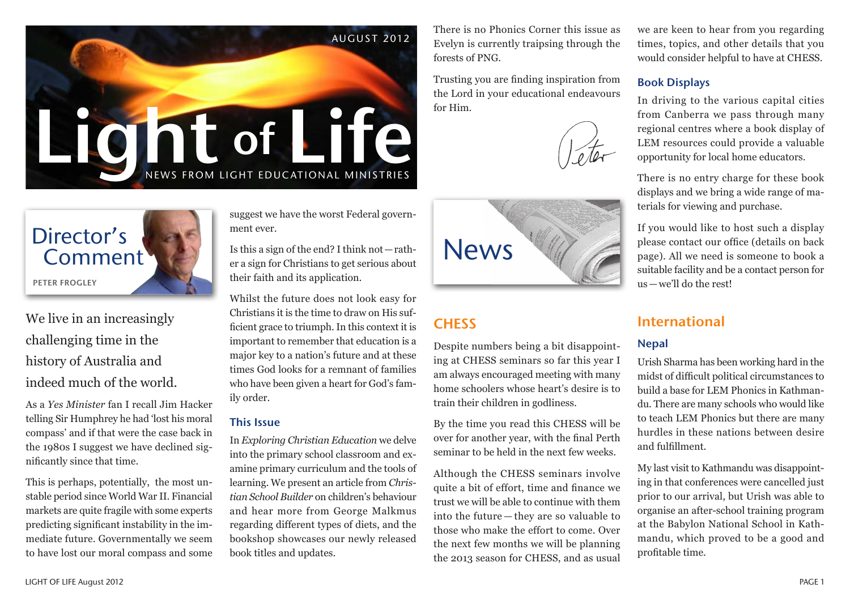



We live in an increasingly challenging time in the history of Australia and indeed much of the world.

As a *Yes Minister* fan I recall Jim Hacker telling Sir Humphrey he had 'lost his moral compass' and if that were the case back in the 1980s I suggest we have declined significantly since that time.

This is perhaps, potentially, the most unstable period since World War II. Financial markets are quite fragile with some experts predicting significant instability in the immediate future. Governmentally we seem to have lost our moral compass and some suggest we have the worst Federal government ever.

Is this a sign of the end? I think not—raththeir faith and its application.

Whilst the future does not look easy for Christians it is the time to draw on His sufficient grace to triumph. In this context it is important to remember that education is a major key to a nation's future and at these times God looks for a remnant of families who have been given a heart for God's family order.

#### This Issue

In *Exploring Christian Education* we delve into the primary school classroom and examine primary curriculum and the tools of learning. We present an article from *Christian School Builder* on children's behaviour and hear more from George Malkmus regarding different types of diets, and the bookshop showcases our newly released book titles and updates.

There is no Phonics Corner this issue as Evelyn is currently traipsing through the forests of PNG.

Trusting you are finding inspiration from the Lord in your educational endeavours for Him.





# **CHESS**

Despite numbers being a bit disappointing at CHESS seminars so far this year I am always encouraged meeting with many home schoolers whose heart's desire is to train their children in godliness.

By the time you read this CHESS will be over for another year, with the final Perth seminar to be held in the next few weeks.

Although the CHESS seminars involve quite a bit of effort, time and finance we trust we will be able to continue with them into the future — they are so valuable to those who make the effort to come. Over the next few months we will be planning the 2013 season for CHESS, and as usual

we are keen to hear from you regarding times, topics, and other details that you would consider helpful to have at CHESS.

#### Book Displays

In driving to the various capital cities from Canberra we pass through many regional centres where a book display of LEM resources could provide a valuable opportunity for local home educators.

There is no entry charge for these book displays and we bring a wide range of materials for viewing and purchase.

If you would like to host such a display please contact our office (details on back page). All we need is someone to book a suitable facility and be a contact person for us—we'll do the rest!

## International

#### Nepal

Urish Sharma has been working hard in the midst of difficult political circumstances to build a base for LEM Phonics in Kathmandu. There are many schools who would like to teach LEM Phonics but there are many hurdles in these nations between desire and fulfillment.

My last visit to Kathmandu was disappointing in that conferences were cancelled just prior to our arrival, but Urish was able to organise an after-school training program at the Babylon National School in Kathmandu, which proved to be a good and profitable time.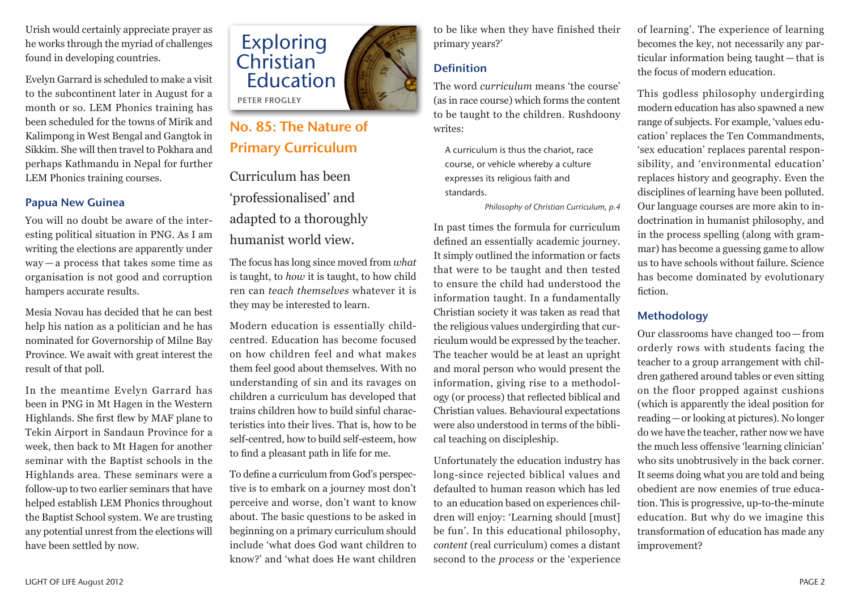Urish would certainly appreciate prayer as he works through the myriad of challenges found in developing countries.

Evelyn Garrard is scheduled to make a visit to the subcontinent later in August for a month or so. LEM Phonics training has been scheduled for the towns of Mirik and Kalimpong in West Bengal and Gangtok in Sikkim. She will then travel to Pokhara and perhaps Kathmandu in Nepal for further LEM Phonics training courses.

#### Papua New Guinea

You will no doubt be aware of the interesting political situation in PNG. As I am writing the elections are apparently under way — a process that takes some time as organisation is not good and corruption hampers accurate results.

Mesia Novau has decided that he can best help his nation as a politician and he has nominated for Governorship of Milne Bay Province. We await with great interest the result of that poll.

In the meantime Evelyn Garrard has been in PNG in Mt Hagen in the Western Highlands. She first flew by MAF plane to Tekin Airport in Sandaun Province for a week, then back to Mt Hagen for another seminar with the Baptist schools in the Highlands area. These seminars were a follow-up to two earlier seminars that have helped establish LEM Phonics throughout the Baptist School system. We are trusting any potential unrest from the elections will have been settled by now.



# No. 85: The Nature of Primary Curriculum

Curriculum has been 'professionalised' and adapted to a thoroughly humanist world view.

The focus has long since moved from *what* is taught, to *how* it is taught, to how child ren can *teach themselves* whatever it is they may be interested to learn.

Modern education is essentially childcentred. Education has become focused on how children feel and what makes them feel good about themselves. With no understanding of sin and its ravages on children a curriculum has developed that trains children how to build sinful characteristics into their lives. That is, how to be self-centred, how to build self-esteem, how to find a pleasant path in life for me.

To define a curriculum from God's perspective is to embark on a journey most don't perceive and worse, don't want to know about. The basic questions to be asked in beginning on a primary curriculum should include 'what does God want children to know?' and 'what does He want children

to be like when they have finished their primary years?'

#### Definition

The word *curriculum* means 'the course' (as in race course) which forms the content to be taught to the children. Rushdoony writes:

A curriculum is thus the chariot, race course, or vehicle whereby a culture expresses its religious faith and standards.

*Philosophy of Christian Curriculum, p.4*

In past times the formula for curriculum defined an essentially academic journey. It simply outlined the information or facts that were to be taught and then tested to ensure the child had understood the information taught. In a fundamentally Christian society it was taken as read that the religious values undergirding that curriculum would be expressed by the teacher. The teacher would be at least an upright and moral person who would present the information, giving rise to a methodology (or process) that reflected biblical and Christian values. Behavioural expectations were also understood in terms of the biblical teaching on discipleship.

Unfortunately the education industry has long-since rejected biblical values and defaulted to human reason which has led to an education based on experiences children will enjoy: 'Learning should [must] be fun'. In this educational philosophy, *content* (real curriculum) comes a distant second to the *process* or the 'experience

of learning'. The experience of learning becomes the key, not necessarily any particular information being taught — that is the focus of modern education.

This godless philosophy undergirding modern education has also spawned a new range of subjects. For example, 'values education' replaces the Ten Commandments, 'sex education' replaces parental responsibility, and 'environmental education' replaces history and geography. Even the disciplines of learning have been polluted. Our language courses are more akin to indoctrination in humanist philosophy, and in the process spelling (along with grammar) has become a guessing game to allow us to have schools without failure. Science has become dominated by evolutionary fiction.

#### **Methodology**

Our classrooms have changed too — from orderly rows with students facing the teacher to a group arrangement with children gathered around tables or even sitting on the floor propped against cushions (which is apparently the ideal position for reading—or looking at pictures). No longer do we have the teacher, rather now we have the much less offensive 'learning clinician' who sits unobtrusively in the back corner. It seems doing what you are told and being obedient are now enemies of true education. This is progressive, up-to-the-minute education. But why do we imagine this transformation of education has made any improvement?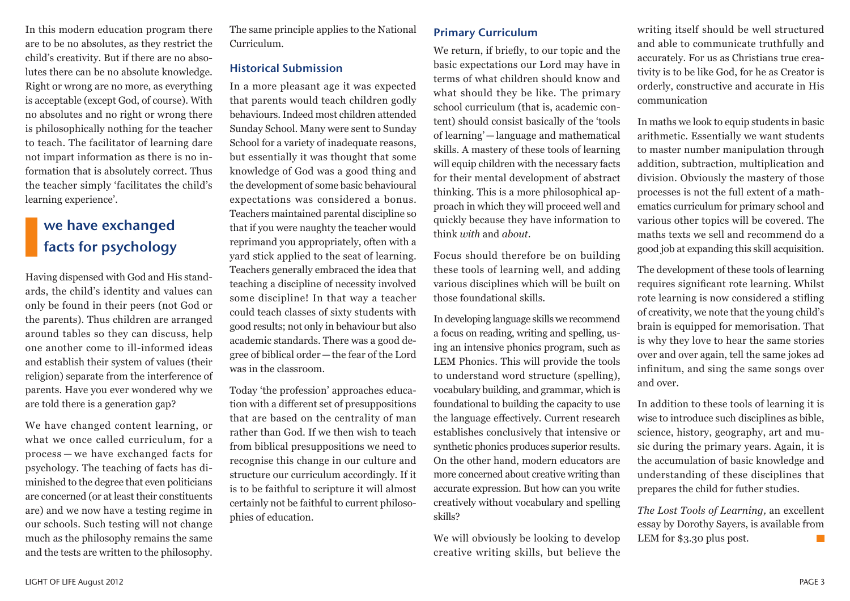In this modern education program there are to be no absolutes, as they restrict the child's creativity. But if there are no absolutes there can be no absolute knowledge. Right or wrong are no more, as everything is acceptable (except God, of course). With no absolutes and no right or wrong there is philosophically nothing for the teacher to teach. The facilitator of learning dare not impart information as there is no information that is absolutely correct. Thus the teacher simply 'facilitates the child's learning experience'.

# we have exchanged facts for psychology

Having dispensed with God and His standards, the child's identity and values can only be found in their peers (not God or the parents). Thus children are arranged around tables so they can discuss, help one another come to ill-informed ideas and establish their system of values (their religion) separate from the interference of parents. Have you ever wondered why we are told there is a generation gap?

We have changed content learning, or what we once called curriculum, for a process — we have exchanged facts for psychology. The teaching of facts has diminished to the degree that even politicians are concerned (or at least their constituents are) and we now have a testing regime in our schools. Such testing will not change much as the philosophy remains the same and the tests are written to the philosophy.

The same principle applies to the National Curriculum.

#### Historical Submission

In a more pleasant age it was expected that parents would teach children godly behaviours. Indeed most children attended Sunday School. Many were sent to Sunday School for a variety of inadequate reasons, but essentially it was thought that some knowledge of God was a good thing and the development of some basic behavioural expectations was considered a bonus. Teachers maintained parental discipline so that if you were naughty the teacher would reprimand you appropriately, often with a yard stick applied to the seat of learning. Teachers generally embraced the idea that teaching a discipline of necessity involved some discipline! In that way a teacher could teach classes of sixty students with good results; not only in behaviour but also academic standards. There was a good degree of biblical order—the fear of the Lord was in the classroom.

Today 'the profession' approaches education with a different set of presuppositions that are based on the centrality of man rather than God. If we then wish to teach from biblical presuppositions we need to recognise this change in our culture and structure our curriculum accordingly. If it is to be faithful to scripture it will almost certainly not be faithful to current philosophies of education.

#### Primary Curriculum

We return, if briefly, to our topic and the basic expectations our Lord may have in terms of what children should know and what should they be like. The primary school curriculum (that is, academic content) should consist basically of the 'tools of learning'—language and mathematical skills. A mastery of these tools of learning will equip children with the necessary facts for their mental development of abstract thinking. This is a more philosophical approach in which they will proceed well and quickly because they have information to think *with* and *about*.

Focus should therefore be on building these tools of learning well, and adding various disciplines which will be built on those foundational skills.

In developing language skills we recommend a focus on reading, writing and spelling, using an intensive phonics program, such as LEM Phonics. This will provide the tools to understand word structure (spelling), vocabulary building, and grammar, which is foundational to building the capacity to use the language effectively. Current research establishes conclusively that intensive or synthetic phonics produces superior results. On the other hand, modern educators are more concerned about creative writing than accurate expression. But how can you write creatively without vocabulary and spelling skills?

We will obviously be looking to develop creative writing skills, but believe the

writing itself should be well structured and able to communicate truthfully and accurately. For us as Christians true creativity is to be like God, for he as Creator is orderly, constructive and accurate in His communication

In maths we look to equip students in basic arithmetic. Essentially we want students to master number manipulation through addition, subtraction, multiplication and division. Obviously the mastery of those processes is not the full extent of a mathematics curriculum for primary school and various other topics will be covered. The maths texts we sell and recommend do a good job at expanding this skill acquisition.

The development of these tools of learning requires significant rote learning. Whilst rote learning is now considered a stifling of creativity, we note that the young child's brain is equipped for memorisation. That is why they love to hear the same stories over and over again, tell the same jokes ad infinitum, and sing the same songs over and over.

In addition to these tools of learning it is wise to introduce such disciplines as bible, science, history, geography, art and music during the primary years. Again, it is the accumulation of basic knowledge and understanding of these disciplines that prepares the child for futher studies.

*The Lost Tools of Learning,* an excellent essay by Dorothy Sayers, is available from LEM for \$3.30 plus post.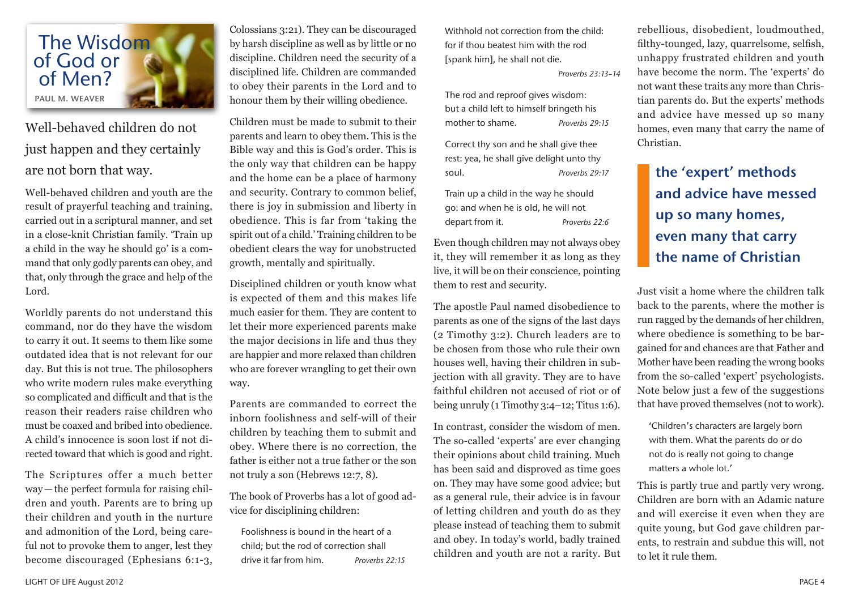

Well-behaved children do not just happen and they certainly are not born that way.

Well-behaved children and youth are the result of prayerful teaching and training, carried out in a scriptural manner, and set in a close-knit Christian family. 'Train up a child in the way he should go' is a command that only godly parents can obey, and that, only through the grace and help of the Lord.

Worldly parents do not understand this command, nor do they have the wisdom to carry it out. It seems to them like some outdated idea that is not relevant for our day. But this is not true. The philosophers who write modern rules make everything so complicated and difficult and that is the reason their readers raise children who must be coaxed and bribed into obedience. A child's innocence is soon lost if not directed toward that which is good and right.

The Scriptures offer a much better way—the perfect formula for raising children and youth. Parents are to bring up their children and youth in the nurture and admonition of the Lord, being careful not to provoke them to anger, lest they become discouraged (Ephesians 6:1-3,

Colossians 3:21). They can be discouraged by harsh discipline as well as by little or no discipline. Children need the security of a disciplined life. Children are commanded to obey their parents in the Lord and to honour them by their willing obedience.

Children must be made to submit to their parents and learn to obey them. This is the Bible way and this is God's order. This is the only way that children can be happy and the home can be a place of harmony and security. Contrary to common belief, there is joy in submission and liberty in obedience. This is far from 'taking the spirit out of a child.' Training children to be obedient clears the way for unobstructed growth, mentally and spiritually.

Disciplined children or youth know what is expected of them and this makes life much easier for them. They are content to let their more experienced parents make the major decisions in life and thus they are happier and more relaxed than children who are forever wrangling to get their own way.

Parents are commanded to correct the inborn foolishness and self-will of their children by teaching them to submit and obey. Where there is no correction, the father is either not a true father or the son not truly a son (Hebrews 12:7, 8).

The book of Proverbs has a lot of good advice for disciplining children:

Foolishness is bound in the heart of a child; but the rod of correction shall drive it far from him. *Proverbs 22:15* Withhold not correction from the child: for if thou beatest him with the rod [spank him], he shall not die.

*Proverbs 23:13–14*

The rod and reproof gives wisdom: but a child left to himself bringeth his mother to shame. *Proverbs 29:15*

Correct thy son and he shall give thee rest: yea, he shall give delight unto thy soul. *Proverbs 29:17*

Train up a child in the way he should go: and when he is old, he will not depart from it. *Proverbs 22:6*

Even though children may not always obey it, they will remember it as long as they live, it will be on their conscience, pointing them to rest and security.

The apostle Paul named disobedience to parents as one of the signs of the last days (2 Timothy 3:2). Church leaders are to be chosen from those who rule their own houses well, having their children in subjection with all gravity. They are to have faithful children not accused of riot or of being unruly (1 Timothy 3:4–12; Titus 1:6).

In contrast, consider the wisdom of men. The so-called 'experts' are ever changing their opinions about child training. Much has been said and disproved as time goes on. They may have some good advice; but as a general rule, their advice is in favour of letting children and youth do as they please instead of teaching them to submit and obey. In today's world, badly trained children and youth are not a rarity. But

rebellious, disobedient, loudmouthed, filthy-tounged, lazy, quarrelsome, selfish, unhappy frustrated children and youth have become the norm. The 'experts' do not want these traits any more than Christian parents do. But the experts' methods and advice have messed up so many homes, even many that carry the name of Christian.

# the 'expert' methods and advice have messed up so many homes, even many that carry the name of Christian

Just visit a home where the children talk back to the parents, where the mother is run ragged by the demands of her children, where obedience is something to be bargained for and chances are that Father and Mother have been reading the wrong books from the so-called 'expert' psychologists. Note below just a few of the suggestions that have proved themselves (not to work).

'Children's characters are largely born with them. What the parents do or do not do is really not going to change matters a whole lot.'

This is partly true and partly very wrong. Children are born with an Adamic nature and will exercise it even when they are quite young, but God gave children parents, to restrain and subdue this will, not to let it rule them.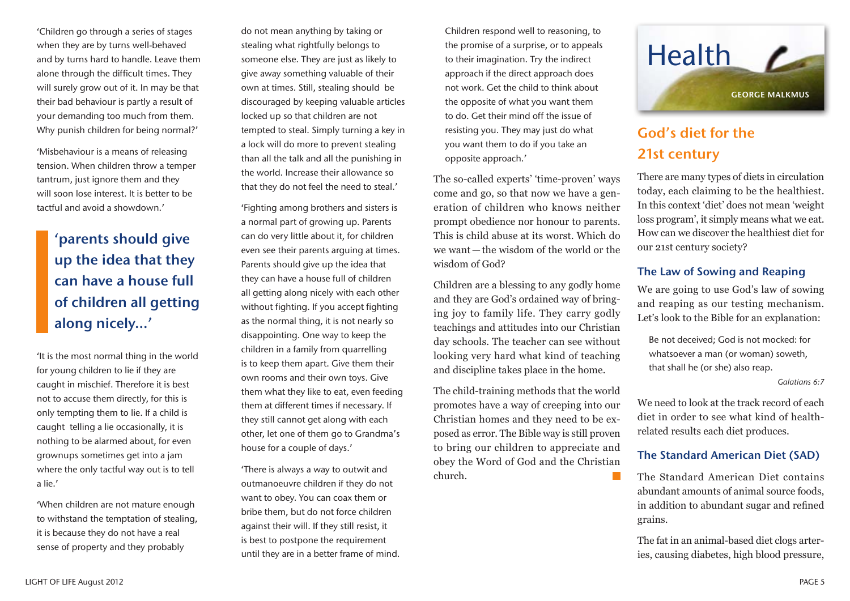'Children go through a series of stages when they are by turns well-behaved and by turns hard to handle. Leave them alone through the difficult times. They will surely grow out of it. In may be that their bad behaviour is partly a result of your demanding too much from them. Why punish children for being normal?'

'Misbehaviour is a means of releasing tension. When children throw a temper tantrum, just ignore them and they will soon lose interest. It is better to be tactful and avoid a showdown.'

'parents should give up the idea that they can have a house full of children all getting along nicely...'

'It is the most normal thing in the world for young children to lie if they are caught in mischief. Therefore it is best not to accuse them directly, for this is only tempting them to lie. If a child is caught telling a lie occasionally, it is nothing to be alarmed about, for even grownups sometimes get into a jam where the only tactful way out is to tell a lie.'

'When children are not mature enough to withstand the temptation of stealing, it is because they do not have a real sense of property and they probably

do not mean anything by taking or stealing what rightfully belongs to someone else. They are just as likely to give away something valuable of their own at times. Still, stealing should be discouraged by keeping valuable articles locked up so that children are not tempted to steal. Simply turning a key in a lock will do more to prevent stealing than all the talk and all the punishing in the world. Increase their allowance so that they do not feel the need to steal.'

'Fighting among brothers and sisters is a normal part of growing up. Parents can do very little about it, for children even see their parents arguing at times. Parents should give up the idea that they can have a house full of children all getting along nicely with each other without fighting. If you accept fighting as the normal thing, it is not nearly so disappointing. One way to keep the children in a family from quarrelling is to keep them apart. Give them their own rooms and their own toys. Give them what they like to eat, even feeding them at different times if necessary. If they still cannot get along with each other, let one of them go to Grandma's house for a couple of days.'

'There is always a way to outwit and outmanoeuvre children if they do not want to obey. You can coax them or bribe them, but do not force children against their will. If they still resist, it is best to postpone the requirement until they are in a better frame of mind.

Children respond well to reasoning, to the promise of a surprise, or to appeals to their imagination. Try the indirect approach if the direct approach does not work. Get the child to think about the opposite of what you want them to do. Get their mind off the issue of resisting you. They may just do what you want them to do if you take an opposite approach.'

The so-called experts' 'time-proven' ways come and go, so that now we have a generation of children who knows neither prompt obedience nor honour to parents. This is child abuse at its worst. Which do we want—the wisdom of the world or the wisdom of God?

Children are a blessing to any godly home and they are God's ordained way of bringing joy to family life. They carry godly teachings and attitudes into our Christian day schools. The teacher can see without looking very hard what kind of teaching and discipline takes place in the home.

The child-training methods that the world promotes have a way of creeping into our Christian homes and they need to be exposed as error. The Bible way is still proven to bring our children to appreciate and obey the Word of God and the Christian church.



# God's diet for the 21st century

There are many types of diets in circulation today, each claiming to be the healthiest. In this context 'diet' does not mean 'weight loss program', it simply means what we eat. How can we discover the healthiest diet for our 21st century society?

#### The Law of Sowing and Reaping

We are going to use God's law of sowing and reaping as our testing mechanism. Let's look to the Bible for an explanation:

Be not deceived; God is not mocked: for whatsoever a man (or woman) soweth, that shall he (or she) also reap.

*Galatians 6:7*

We need to look at the track record of each diet in order to see what kind of healthrelated results each diet produces.

#### The Standard American Diet (SAD)

The Standard American Diet contains abundant amounts of animal source foods, in addition to abundant sugar and refined grains.

The fat in an animal-based diet clogs arteries, causing diabetes, high blood pressure,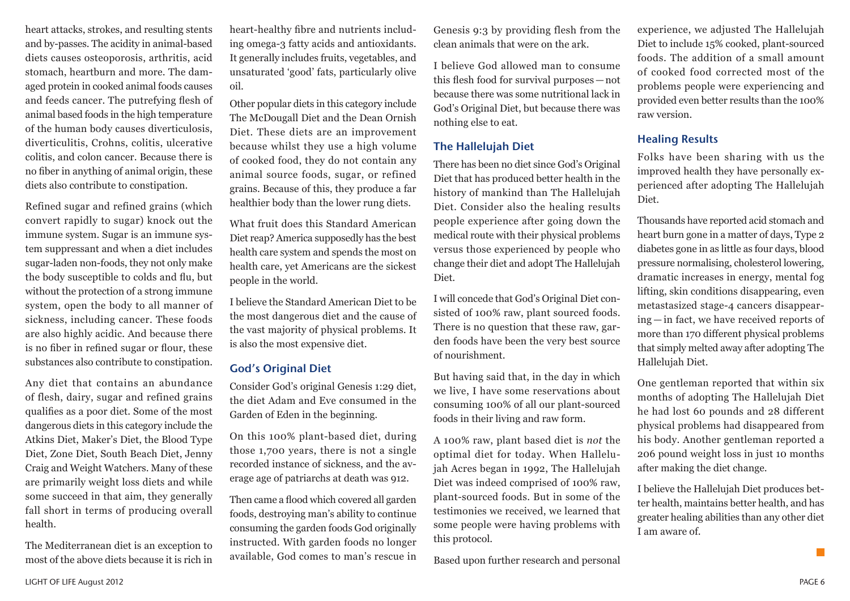heart attacks, strokes, and resulting stents and by-passes. The acidity in animal-based diets causes osteoporosis, arthritis, acid stomach, heartburn and more. The damaged protein in cooked animal foods causes and feeds cancer. The putrefying flesh of animal based foods in the high temperature of the human body causes diverticulosis, diverticulitis, Crohns, colitis, ulcerative colitis, and colon cancer. Because there is no fiber in anything of animal origin, these diets also contribute to constipation.

Refined sugar and refined grains (which convert rapidly to sugar) knock out the immune system. Sugar is an immune system suppressant and when a diet includes sugar-laden non-foods, they not only make the body susceptible to colds and flu, but without the protection of a strong immune system, open the body to all manner of sickness, including cancer. These foods are also highly acidic. And because there is no fiber in refined sugar or flour, these substances also contribute to constipation.

Any diet that contains an abundance of flesh, dairy, sugar and refined grains qualifies as a poor diet. Some of the most dangerous diets in this category include the Atkins Diet, Maker's Diet, the Blood Type Diet, Zone Diet, South Beach Diet, Jenny Craig and Weight Watchers. Many of these are primarily weight loss diets and while some succeed in that aim, they generally fall short in terms of producing overall health.

The Mediterranean diet is an exception to most of the above diets because it is rich in

heart-healthy fibre and nutrients including omega-3 fatty acids and antioxidants. It generally includes fruits, vegetables, and unsaturated 'good' fats, particularly olive oil.

Other popular diets in this category include The McDougall Diet and the Dean Ornish Diet. These diets are an improvement because whilst they use a high volume of cooked food, they do not contain any animal source foods, sugar, or refined grains. Because of this, they produce a far healthier body than the lower rung diets.

What fruit does this Standard American Diet reap? America supposedly has the best health care system and spends the most on health care, yet Americans are the sickest people in the world.

I believe the Standard American Diet to be the most dangerous diet and the cause of the vast majority of physical problems. It is also the most expensive diet.

#### God's Original Diet

Consider God's original Genesis 1:29 diet, the diet Adam and Eve consumed in the Garden of Eden in the beginning.

On this 100% plant-based diet, during those 1,700 years, there is not a single recorded instance of sickness, and the average age of patriarchs at death was 912.

Then came a flood which covered all garden foods, destroying man's ability to continue consuming the garden foods God originally instructed. With garden foods no longer available, God comes to man's rescue in

Genesis 9:3 by providing flesh from the clean animals that were on the ark.

I believe God allowed man to consume this flesh food for survival purposes—not because there was some nutritional lack in God's Original Diet, but because there was nothing else to eat.

#### The Hallelujah Diet

There has been no diet since God's Original Diet that has produced better health in the history of mankind than The Hallelujah Diet. Consider also the healing results people experience after going down the medical route with their physical problems versus those experienced by people who change their diet and adopt The Hallelujah Diet.

I will concede that God's Original Diet consisted of 100% raw, plant sourced foods. There is no question that these raw, garden foods have been the very best source of nourishment.

But having said that, in the day in which we live, I have some reservations about consuming 100% of all our plant-sourced foods in their living and raw form.

A 100% raw, plant based diet is *not* the optimal diet for today. When Hallelujah Acres began in 1992, The Hallelujah Diet was indeed comprised of 100% raw, plant-sourced foods. But in some of the testimonies we received, we learned that some people were having problems with this protocol.

Based upon further research and personal

experience, we adjusted The Hallelujah Diet to include 15% cooked, plant-sourced foods. The addition of a small amount of cooked food corrected most of the problems people were experiencing and provided even better results than the 100% raw version.

#### Healing Results

Folks have been sharing with us the improved health they have personally experienced after adopting The Hallelujah Diet.

Thousands have reported acid stomach and heart burn gone in a matter of days, Type 2 diabetes gone in as little as four days, blood pressure normalising, cholesterol lowering, dramatic increases in energy, mental fog lifting, skin conditions disappearing, even metastasized stage-4 cancers disappearing — in fact, we have received reports of more than 170 different physical problems that simply melted away after adopting The Hallelujah Diet.

One gentleman reported that within six months of adopting The Hallelujah Diet he had lost 60 pounds and 28 different physical problems had disappeared from his body. Another gentleman reported a 206 pound weight loss in just 10 months after making the diet change.

I believe the Hallelujah Diet produces better health, maintains better health, and has greater healing abilities than any other diet I am aware of.

**The State**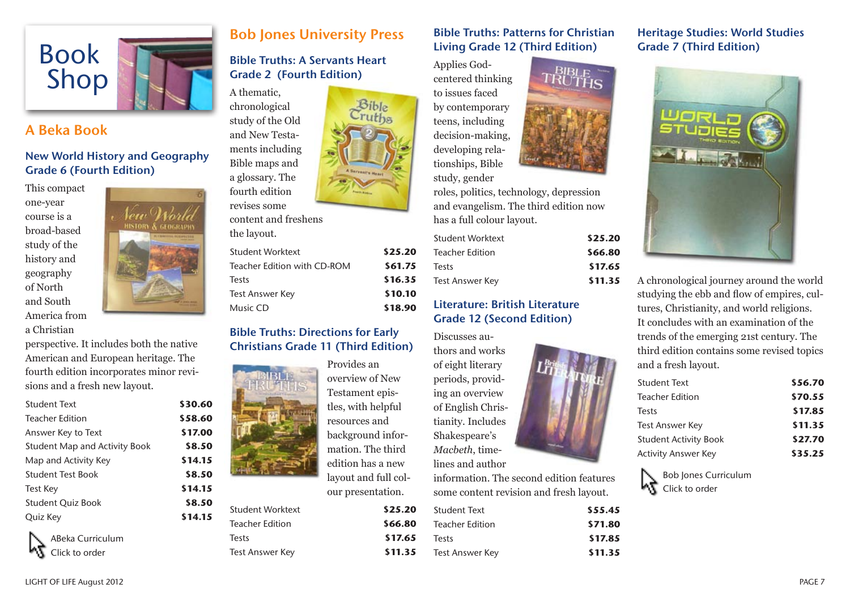

## A Beka Book

New World History and Geography Grade 6 (Fourth Edition)

This compact one-year course is a broad-based study of the history and geography of North and South America from a Christian



perspective. It includes both the native American and European heritage. The fourth edition incorporates minor revisions and a fresh new layout.

| <b>Student Text</b>                  | \$30.60 |
|--------------------------------------|---------|
| <b>Teacher Edition</b>               | \$58.60 |
| Answer Key to Text                   | \$17.00 |
| <b>Student Map and Activity Book</b> | \$8.50  |
| Map and Activity Key                 | \$14.15 |
| <b>Student Test Book</b>             | \$8.50  |
| Test Key                             | \$14.15 |
| <b>Student Quiz Book</b>             | \$8.50  |
| Quiz Key                             | \$14.15 |
|                                      |         |



# Bob Jones University Press

#### Bible Truths: A Servants Heart Grade 2 (Fourth Edition)

A thematic, chronological

study of the Old and New Testaments including Bible maps and a glossary. The fourth edition revises some

| content and freshens        |         |
|-----------------------------|---------|
| the layout.                 |         |
| Student Worktext            | \$25.20 |
| Teacher Edition with CD-ROM | \$61.75 |
| Tests                       | \$16.35 |
| <b>Test Answer Key</b>      | \$10.10 |
| Music CD                    | \$18.90 |

#### Bible Truths: Directions for Early Christians Grade 11 (Third Edition)



Provides an overview of New Testament epistles, with helpful resources and background information. The third edition has a new layout and full colour presentation.

| \$25.20 |
|---------|
| \$66.80 |
| \$17.65 |
| \$11.35 |
|         |

#### Bible Truths: Patterns for Christian Living Grade 12 (Third Edition)

Applies Godcentered thinking to issues faced by contemporary teens, including decision-making, developing rela-

tionships, Bible study, gender

roles, politics, technology, depression and evangelism. The third edition now has a full colour layout.

| Student Worktext       | \$25.20 |
|------------------------|---------|
| <b>Teacher Edition</b> | \$66.80 |
| Tests                  | \$17.65 |
| <b>Test Answer Key</b> | \$11.35 |

#### Literature: British Literature Grade 12 (Second Edition)

Discusses authors and works of eight literary periods, providing an overview of English Christianity. Includes Shakespeare's *Macbeth*, timelines and author

information. The second edition features some content revision and fresh layout.

| \$55.45 |
|---------|
| \$71.80 |
| \$17.85 |
| \$11.35 |
|         |

#### Heritage Studies: World Studies Grade 7 (Third Edition)



A chronological journey around the world studying the ebb and flow of empires, cultures, Christianity, and world religions. It concludes with an examination of the trends of the emerging 21st century. The third edition contains some revised topics and a fresh layout.

| \$56.70 |
|---------|
|         |
| \$70.55 |
| \$17.85 |
| \$11.35 |
| \$27.70 |
| \$35.25 |
|         |

Bob Jones Curriculum Click to order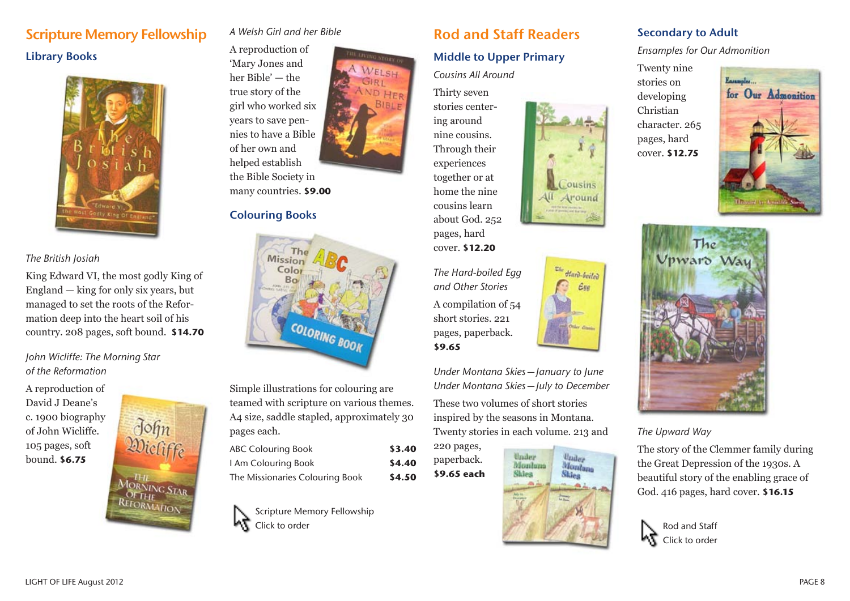# Scripture Memory Fellowship Library Books



#### *The British Josiah*

King Edward VI, the most godly King of England — king for only six years, but managed to set the roots of the Reformation deep into the heart soil of his country. 208 pages, soft bound. **\$14.70**

#### *John Wicliffe: The Morning Star of the Reformation*

A reproduction of David J Deane's c. 1900 biography of John Wicliffe. 105 pages, soft bound. **\$6.75**



#### *A Welsh Girl and her Bible*

A reproduction of 'Mary Jones and her Bible' — the true story of the girl who worked six years to save pennies to have a Bible of her own and helped establish the Bible Society in many countries. **\$9.00**

WELSH

D HER **BIBLE** 

#### Colouring Books



Simple illustrations for colouring are teamed with scripture on various themes. A4 size, saddle stapled, approximately 30 pages each.

| <b>ABC Colouring Book</b>       | \$3.40 |
|---------------------------------|--------|
| I Am Colouring Book             | \$4.40 |
| The Missionaries Colouring Book | \$4.50 |

Scripture Memory Fellowship Click to order

# Rod and Staff Readers

#### Middle to Upper Primary

#### *Cousins All Around*

Thirty seven stories centering around nine cousins. Through their experiences together or at home the nine cousins learn about God. 252 pages, hard

cover. **\$12.20**

**\$9.65**

*The Hard-boiled Egg and Other Stories* A compilation of 54 short stories. 221 pages, paperback.

*Under Montana Skies—January to June Under Montana Skies—July to December*

These two volumes of short stories inspired by the seasons in Montana. Twenty stories in each volume. 213 and

220 pages, paperback. **\$9.65 each**



ousins 411 Around

<sup>The</sup> Hard-boiled

 $\epsilon$ ssa

### Secondary to Adult

*Ensamples for Our Admonition*

Twenty nine stories on developing Christian character. 265 pages, hard cover. **\$12.75**





*The Upward Way*

The story of the Clemmer family during the Great Depression of the 1930s. A beautiful story of the enabling grace of God. 416 pages, hard cover. **\$16.15**